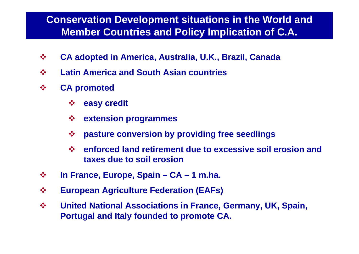#### **Conservation Development situations in the World and Member Countries and Policy Implication of C.A.**

- $\frac{1}{2}$ **CA adopted in America, Australia, U.K., Brazil, Canada**
- $\frac{1}{2}$ **Latin America and South Asian countries**
- $\frac{1}{2}$  **CA promoted**
	- $\frac{1}{2}$ **easy credit**
	- **extension programmes**
	- $\frac{1}{2}$ **pasture conversion by providing free seedlings**
	- $\frac{1}{2}$  **enforced land retirement due to excessive soil erosion and taxes due to soil erosion**
- $\frac{1}{2}$ **In France, Europe, Spain – CA – 1 m.ha.**
- $\frac{1}{2}$ **European Agriculture Federation (EAFs)**
- $\frac{1}{2}$  **United National Associations in France, Germany, UK, Spain, Portugal and Italy founded to promote CA.**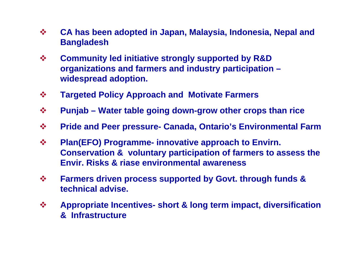- $\frac{1}{2}$  **CA has been adopted in Japan, Malaysia, Indonesia, Nepal and Bangladesh**
- $\frac{1}{2}$  **Community led initiative strongly supported by R&D organizations and farmers and industry participation – widespread adoption.**
- $\begin{picture}(180,10) \put(0,0){\line(1,0){15}} \put(10,0){\line(1,0){15}} \put(10,0){\line(1,0){15}} \put(10,0){\line(1,0){15}} \put(10,0){\line(1,0){15}} \put(10,0){\line(1,0){15}} \put(10,0){\line(1,0){15}} \put(10,0){\line(1,0){15}} \put(10,0){\line(1,0){15}} \put(10,0){\line(1,0){15}} \put(10,0){\line(1,0){15}} \put(10,0){\line($ **Targeted Policy Approach and Motivate Farmers**
- $\frac{1}{2}$ **Punjab – Water table going down-grow other crops than rice**
- $\frac{1}{2}$ **Pride and Peer pressure- Canada, Ontario's Environmental Farm**
- $\frac{1}{2}$  **Plan(EFO) Programme- innovative approach to Envirn. Conservation & voluntary participation of farmers to assess the Envir. Risks & riase environmental awareness**
- $\frac{1}{2}$  **Farmers driven process supported by Govt. through funds & technical advise.**
- $\frac{1}{2}$  **Appropriate Incentives- short & long term impact, diversification & Infrastructure**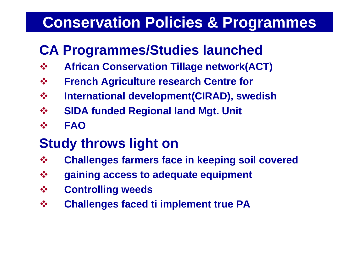#### **Conservation Policies & Programmes**

#### **CA Programmes/Studies launched**

- $\frac{1}{2}$ **African Conservation Tillage network(ACT)**
- $\frac{1}{2}$ **French Agriculture research Centre for**
- **International development(CIRAD), swedish**
- $\begin{picture}(180,10) \put(0,0){\line(1,0){15}} \put(10,0){\line(1,0){15}} \put(10,0){\line(1,0){15}} \put(10,0){\line(1,0){15}} \put(10,0){\line(1,0){15}} \put(10,0){\line(1,0){15}} \put(10,0){\line(1,0){15}} \put(10,0){\line(1,0){15}} \put(10,0){\line(1,0){15}} \put(10,0){\line(1,0){15}} \put(10,0){\line(1,0){15}} \put(10,0){\line($ **SIDA funded Regional land Mgt. Unit**
- $\frac{1}{2}$ **FAO**

#### **Study throws light on**

- $\begin{picture}(180,10) \put(0,0){\line(1,0){15}} \put(10,0){\line(1,0){15}} \put(10,0){\line(1,0){15}} \put(10,0){\line(1,0){15}} \put(10,0){\line(1,0){15}} \put(10,0){\line(1,0){15}} \put(10,0){\line(1,0){15}} \put(10,0){\line(1,0){15}} \put(10,0){\line(1,0){15}} \put(10,0){\line(1,0){15}} \put(10,0){\line(1,0){15}} \put(10,0){\line($ **Challenges farmers face in keeping soil covered**
- **gaining access to adequate equipment**
- **Controlling weeds**
- $\frac{1}{2}$ **Challenges faced ti implement true PA**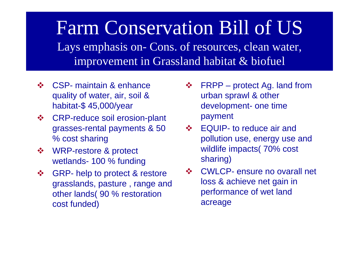Farm Conservation Bill of US Lays emphasis on-Cons. of resources, clean water, improvement in Grassland habitat & biofuel

- **❖** CSP- maintain & enhance quality of water, air, soil & habitat-\$ 45,000/year
- $\frac{1}{2}$  CRP-reduce soil erosion-plant grasses-rental payments & 50 % cost sharing
- $\frac{1}{2}$  WRP-restore & protect wetlands- 100 % funding
- $\frac{1}{2}$  GRP- help to protect & restore grasslands, pasture , range and other lands( 90 % restoration cost funded)
- $\frac{1}{2}$ ❖ FRPP – protect Ag. land from urban sprawl & other development- one time payment
- ❖ EQUIP- to reduce air and pollution use, energy use and wildlife impacts( 70% cost sharing)
- $\frac{1}{2}$  CWLCP- ensure no ovarall net loss & achieve net gain in performance of wet land acreage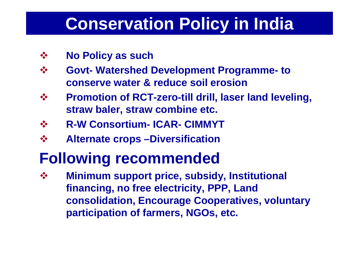## **Conservation Policy in India**

- $\frac{1}{2}$ **No Policy as such**
- $\frac{1}{2}$  **Govt-Watershed Development Programme-to conserve water & reduce soil erosion**
- $\frac{1}{2}$  **Promotion of RCT-zero-till drill, laser land leveling, straw baler, straw combine etc.**
- $\frac{1}{2}$ **R-W Consortium- ICAR-CIMMYT**
- $\frac{1}{2}$ **Alternate crops –Diversification**

### **Following recommended**

 $\frac{1}{2}$  **Minimum support price, subsidy, Institutional financing, no free electricity, PPP, Land consolidation, Encourage Cooperatives, voluntary participation of farmers, NGOs, etc.**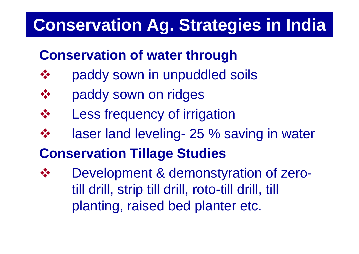## **Conservation Ag. Strategies in India**

#### **Conservation of water through**

- $\frac{1}{2}$ paddy sown in unpuddled soils
- $\frac{1}{2}$ paddy sown on ridges
- Less frequency of irrigation
- $\frac{1}{2}$ laser land leveling- 25 % saving in water
- **Conservation Tillage Studies**
- $\frac{1}{2}$  Development & demonstyration of zerotill drill, strip till drill, roto-till drill, till planting, raised bed planter etc.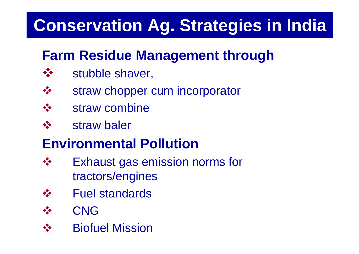## **Conservation Ag. Strategies in India**

#### **Farm Residue Management through**

- $\frac{1}{2}$ stubble shaver,
- $\frac{1}{2}$ straw chopper cum incorporator
- straw combine
- $\frac{1}{2}$ straw baler

#### **Environmental Pollution**

- $\frac{1}{2}$  Exhaust gas emission norms for tractors/engines
- 大 Fuel standards
- $\frac{1}{2}$ CNG
- $\frac{1}{2}$ Biofuel Mission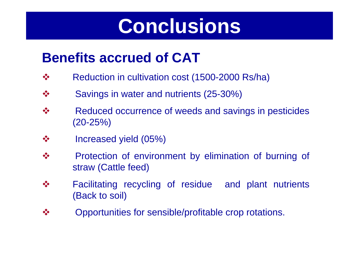## **Conclusions**

#### **Benefits accrued of CAT**

- $\frac{1}{2}$ Reduction in cultivation cost (1500-2000 Rs/ha)
- $\frac{1}{2}$ Savings in water and nutrients (25-30%)
- $\frac{1}{2}$  Reduced occurrence of weeds and savings in pesticides (20-25%)
- $\frac{1}{2}$ Increased yield (05%)
- $\frac{1}{2}$  Protection of environment by elimination of burning of straw (Cattle feed)
- $\frac{1}{2}$  Facilitating recycling of residue and plant nutrients (Back to soil)
- $\frac{1}{2}$ Opportunities for sensible/profitable crop rotations.